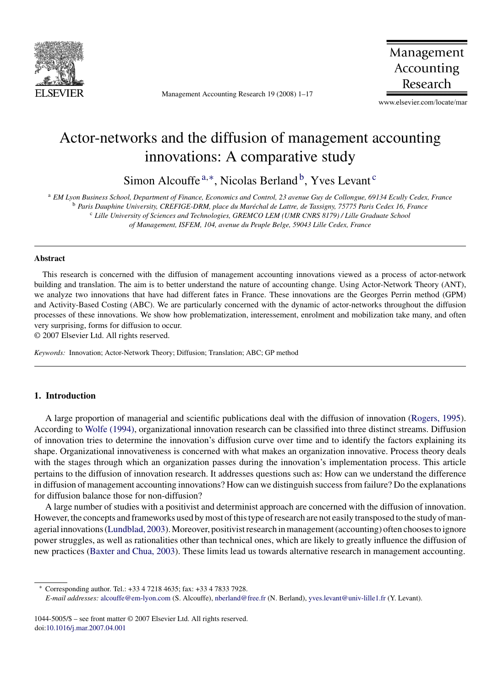

Management Accounting Research 19 (2008) 1–17

Management Accounting Research

www.elsevier.com/locate/mar

## Actor-networks and the diffusion of management accounting innovations: A comparative study

Simon Alcouffe<sup> $a,*$ </sup>, Nicolas Berland<sup>b</sup>, Yves Levant<sup>c</sup>

<sup>a</sup> *EM Lyon Business School, Department of Finance, Economics and Control, 23 avenue Guy de Collongue, 69134 Ecully Cedex, France*

<sup>b</sup> Paris Dauphine University, CREFIGE-DRM, place du Maréchal de Lattre, de Tassigny, 75775 Paris Cedex 16, France

<sup>c</sup> *Lille University of Sciences and Technologies, GREMCO LEM (UMR CNRS 8179) / Lille Graduate School*

*of Management, ISFEM, 104, avenue du Peuple Belge, 59043 Lille Cedex, France*

#### **Abstract**

This research is concerned with the diffusion of management accounting innovations viewed as a process of actor-network building and translation. The aim is to better understand the nature of accounting change. Using Actor-Network Theory (ANT), we analyze two innovations that have had different fates in France. These innovations are the Georges Perrin method (GPM) and Activity-Based Costing (ABC). We are particularly concerned with the dynamic of actor-networks throughout the diffusion processes of these innovations. We show how problematization, interessement, enrolment and mobilization take many, and often very surprising, forms for diffusion to occur.

© 2007 Elsevier Ltd. All rights reserved.

*Keywords:* Innovation; Actor-Network Theory; Diffusion; Translation; ABC; GP method

### **1. Introduction**

A large proportion of managerial and scientific publications deal with the diffusion of innovation [\(Rogers, 1995\).](#page--1-0) According to [Wolfe \(1994\), o](#page--1-0)rganizational innovation research can be classified into three distinct streams. Diffusion of innovation tries to determine the innovation's diffusion curve over time and to identify the factors explaining its shape. Organizational innovativeness is concerned with what makes an organization innovative. Process theory deals with the stages through which an organization passes during the innovation's implementation process. This article pertains to the diffusion of innovation research. It addresses questions such as: How can we understand the difference in diffusion of management accounting innovations? How can we distinguish success from failure? Do the explanations for diffusion balance those for non-diffusion?

A large number of studies with a positivist and determinist approach are concerned with the diffusion of innovation. However, the concepts and frameworks used by most of this type of research are not easily transposed to the study of managerial innovations [\(Lundblad, 2003\).](#page--1-0) Moreover, positivist research in management (accounting) often chooses to ignore power struggles, as well as rationalities other than technical ones, which are likely to greatly influence the diffusion of new practices [\(Baxter and Chua, 2003\).](#page--1-0) These limits lead us towards alternative research in management accounting.

<sup>∗</sup> Corresponding author. Tel.: +33 4 7218 4635; fax: +33 4 7833 7928.

*E-mail addresses:* [alcouffe@em-lyon.com](mailto:alcouffe@em-lyon.com) (S. Alcouffe), [nberland@free.fr](mailto:nberland@free.fr) (N. Berland), [yves.levant@univ-lille1.fr](mailto:yves.levant@univ-lille1.fr) (Y. Levant).

<sup>1044-5005/\$ –</sup> see front matter © 2007 Elsevier Ltd. All rights reserved. doi:[10.1016/j.mar.2007.04.001](dx.doi.org/10.1016/j.mar.2007.04.001)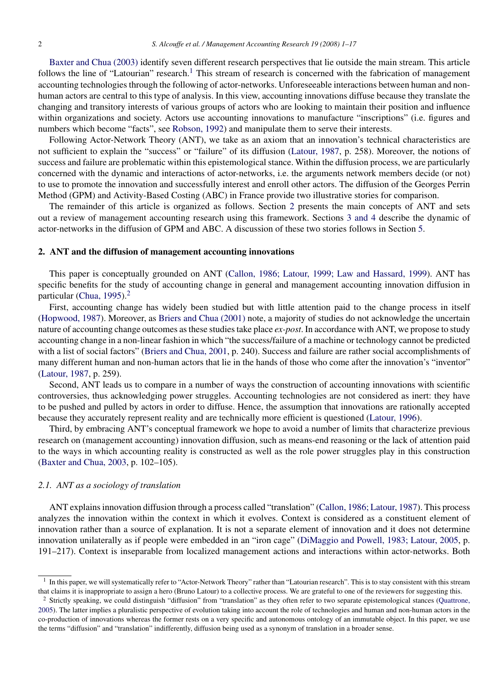[Baxter and Chua \(2003\)](#page--1-0) identify seven different research perspectives that lie outside the main stream. This article follows the line of "Latourian" research.<sup>1</sup> This stream of research is concerned with the fabrication of management accounting technologies through the following of actor-networks. Unforeseeable interactions between human and nonhuman actors are central to this type of analysis. In this view, accounting innovations diffuse because they translate the changing and transitory interests of various groups of actors who are looking to maintain their position and influence within organizations and society. Actors use accounting innovations to manufacture "inscriptions" (i.e. figures and numbers which become "facts", see [Robson, 1992\)](#page--1-0) and manipulate them to serve their interests.

Following Actor-Network Theory (ANT), we take as an axiom that an innovation's technical characteristics are not sufficient to explain the "success" or "failure" of its diffusion [\(Latour, 1987,](#page--1-0) p. 258). Moreover, the notions of success and failure are problematic within this epistemological stance. Within the diffusion process, we are particularly concerned with the dynamic and interactions of actor-networks, i.e. the arguments network members decide (or not) to use to promote the innovation and successfully interest and enroll other actors. The diffusion of the Georges Perrin Method (GPM) and Activity-Based Costing (ABC) in France provide two illustrative stories for comparison.

The remainder of this article is organized as follows. Section 2 presents the main concepts of ANT and sets out a review of management accounting research using this framework. Sections [3 and 4](#page--1-0) describe the dynamic of actor-networks in the diffusion of GPM and ABC. A discussion of these two stories follows in Section [5.](#page--1-0)

#### **2. ANT and the diffusion of management accounting innovations**

This paper is conceptually grounded on ANT ([Callon, 1986; Latour, 1999; Law and Hassard, 1999\).](#page--1-0) ANT has specific benefits for the study of accounting change in general and management accounting innovation diffusion in particular [\(Chua, 1995\).](#page--1-0)<sup>2</sup>

First, accounting change has widely been studied but with little attention paid to the change process in itself ([Hopwood, 1987\).](#page--1-0) Moreover, as [Briers and Chua \(2001\)](#page--1-0) note, a majority of studies do not acknowledge the uncertain nature of accounting change outcomes as these studies take place *ex-post*. In accordance with ANT, we propose to study accounting change in a non-linear fashion in which "the success/failure of a machine or technology cannot be predicted with a list of social factors" [\(Briers and Chua, 2001,](#page--1-0) p. 240). Success and failure are rather social accomplishments of many different human and non-human actors that lie in the hands of those who come after the innovation's "inventor" ([Latour, 1987, p](#page--1-0). 259).

Second, ANT leads us to compare in a number of ways the construction of accounting innovations with scientific controversies, thus acknowledging power struggles. Accounting technologies are not considered as inert: they have to be pushed and pulled by actors in order to diffuse. Hence, the assumption that innovations are rationally accepted because they accurately represent reality and are technically more efficient is questioned ([Latour, 1996\).](#page--1-0)

Third, by embracing ANT's conceptual framework we hope to avoid a number of limits that characterize previous research on (management accounting) innovation diffusion, such as means-end reasoning or the lack of attention paid to the ways in which accounting reality is constructed as well as the role power struggles play in this construction ([Baxter and Chua, 2003,](#page--1-0) p. 102–105).

#### *2.1. ANT as a sociology of translation*

ANT explains innovation diffusion through a process called "translation" ([Callon, 1986; Latour, 1987\).](#page--1-0) This process analyzes the innovation within the context in which it evolves. Context is considered as a constituent element of innovation rather than a source of explanation. It is not a separate element of innovation and it does not determine innovation unilaterally as if people were embedded in an "iron cage" [\(DiMaggio and Powell, 1983; Latour, 2005,](#page--1-0) p. 191–217). Context is inseparable from localized management actions and interactions within actor-networks. Both

<sup>&</sup>lt;sup>1</sup> In this paper, we will systematically refer to "Actor-Network Theory" rather than "Latourian research". This is to stay consistent with this stream that claims it is inappropriate to assign a hero (Bruno Latour) to a collective process. We are grateful to one of the reviewers for suggesting this.

 $2$  Strictly speaking, we could distinguish "diffusion" from "translation" as they often refer to two separate epistemological stances ([Quattrone,](#page--1-0) [2005\).](#page--1-0) The latter implies a pluralistic perspective of evolution taking into account the role of technologies and human and non-human actors in the co-production of innovations whereas the former rests on a very specific and autonomous ontology of an immutable object. In this paper, we use the terms "diffusion" and "translation" indifferently, diffusion being used as a synonym of translation in a broader sense.